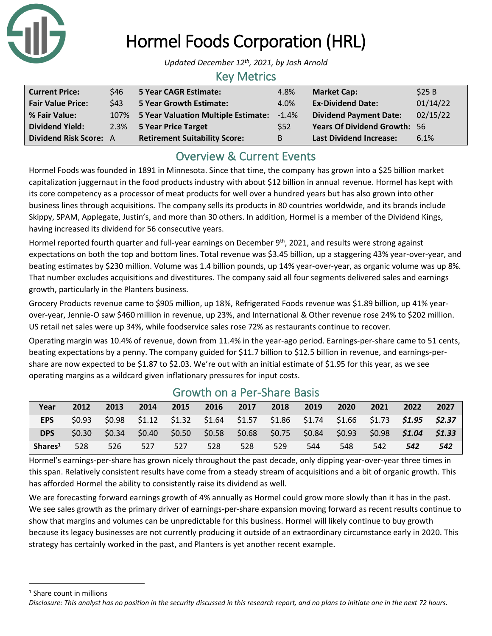

# Hormel Foods Corporation (HRL)

*Updated December 12th , 2021, by Josh Arnold*

### Key Metrics

| <b>Current Price:</b>         | \$46 | 5 Year CAGR Estimate:                | 4.8%       | <b>Market Cap:</b>                  | \$25B    |
|-------------------------------|------|--------------------------------------|------------|-------------------------------------|----------|
| <b>Fair Value Price:</b>      | \$43 | <b>5 Year Growth Estimate:</b>       | 4.0%       | <b>Ex-Dividend Date:</b>            | 01/14/22 |
| % Fair Value:                 | 107% | 5 Year Valuation Multiple Estimate:  | $-1.4%$    | <b>Dividend Payment Date:</b>       | 02/15/22 |
| <b>Dividend Yield:</b>        |      | 2.3% 5 Year Price Target             | <b>S52</b> | <b>Years Of Dividend Growth: 56</b> |          |
| <b>Dividend Risk Score: A</b> |      | <b>Retirement Suitability Score:</b> | B          | <b>Last Dividend Increase:</b>      | 6.1%     |

## Overview & Current Events

Hormel Foods was founded in 1891 in Minnesota. Since that time, the company has grown into a \$25 billion market capitalization juggernaut in the food products industry with about \$12 billion in annual revenue. Hormel has kept with its core competency as a processor of meat products for well over a hundred years but has also grown into other business lines through acquisitions. The company sells its products in 80 countries worldwide, and its brands include Skippy, SPAM, Applegate, Justin's, and more than 30 others. In addition, Hormel is a member of the Dividend Kings, having increased its dividend for 56 consecutive years.

Hormel reported fourth quarter and full-year earnings on December 9<sup>th</sup>, 2021, and results were strong against expectations on both the top and bottom lines. Total revenue was \$3.45 billion, up a staggering 43% year-over-year, and beating estimates by \$230 million. Volume was 1.4 billion pounds, up 14% year-over-year, as organic volume was up 8%. That number excludes acquisitions and divestitures. The company said all four segments delivered sales and earnings growth, particularly in the Planters business.

Grocery Products revenue came to \$905 million, up 18%, Refrigerated Foods revenue was \$1.89 billion, up 41% yearover-year, Jennie-O saw \$460 million in revenue, up 23%, and International & Other revenue rose 24% to \$202 million. US retail net sales were up 34%, while foodservice sales rose 72% as restaurants continue to recover.

Operating margin was 10.4% of revenue, down from 11.4% in the year-ago period. Earnings-per-share came to 51 cents, beating expectations by a penny. The company guided for \$11.7 billion to \$12.5 billion in revenue, and earnings-pershare are now expected to be \$1.87 to \$2.03. We're out with an initial estimate of \$1.95 for this year, as we see operating margins as a wildcard given inflationary pressures for input costs.

| Year                | 2012   | 2013          | 2014 | 2015 | 2016 | 2017                                            | 2018 | 2019                                                                                | 2020   | 2021            | 2022 | 2027   |
|---------------------|--------|---------------|------|------|------|-------------------------------------------------|------|-------------------------------------------------------------------------------------|--------|-----------------|------|--------|
| <b>EPS</b>          | \$0.93 |               |      |      |      |                                                 |      | \$0.98 \$1.12 \$1.32 \$1.64 \$1.57 \$1.86 \$1.74 \$1.66 \$1.73 <b>\$1.95 \$2.37</b> |        |                 |      |        |
| <b>DPS</b>          | \$0.30 | $\sim$ \$0.34 |      |      |      | $$0.40$ $$0.50$ $$0.58$ $$0.68$ $$0.75$ $$0.84$ |      |                                                                                     | \$0.93 | $$0.98$ $$1.04$ |      | \$1.33 |
| Shares <sup>1</sup> | 528    | 526           | 527  | 527  | 528  | 528                                             | 529  | 544                                                                                 | 548    | 542             | 542  | 542    |

### Growth on a Per-Share Basis

Hormel's earnings-per-share has grown nicely throughout the past decade, only dipping year-over-year three times in this span. Relatively consistent results have come from a steady stream of acquisitions and a bit of organic growth. This has afforded Hormel the ability to consistently raise its dividend as well.

We are forecasting forward earnings growth of 4% annually as Hormel could grow more slowly than it has in the past. We see sales growth as the primary driver of earnings-per-share expansion moving forward as recent results continue to show that margins and volumes can be unpredictable for this business. Hormel will likely continue to buy growth because its legacy businesses are not currently producing it outside of an extraordinary circumstance early in 2020. This strategy has certainly worked in the past, and Planters is yet another recent example.

<sup>1</sup> Share count in millions

*Disclosure: This analyst has no position in the security discussed in this research report, and no plans to initiate one in the next 72 hours.*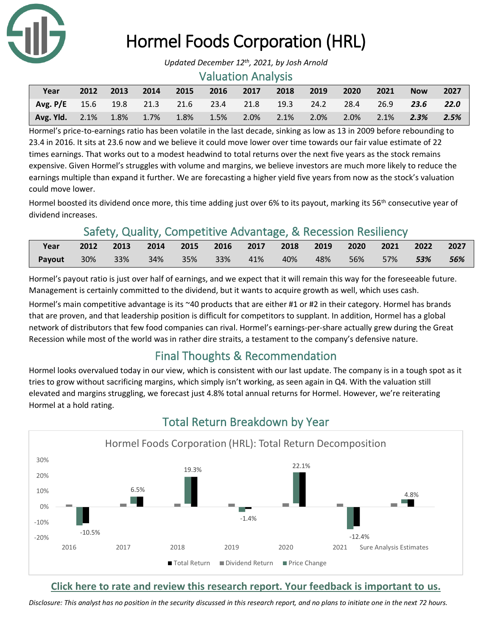

## Hormel Foods Corporation (HRL)

#### Valuation Analysis

| Year                                                      | 2012 | 2013 | $\sim$ 2014 $\sim$ | 2015            | 2016    | 2017    | 2018     | 2019 | 2020               | 2021    | <b>Now</b> | 2027 |
|-----------------------------------------------------------|------|------|--------------------|-----------------|---------|---------|----------|------|--------------------|---------|------------|------|
| Avg. P/E $15.6$ $19.8$ $21.3$ $21.6$ $23.4$ $21.8$ $19.3$ |      |      |                    |                 |         |         |          |      | 24.2 28.4 26.9     |         | 23.6       | 22.0 |
| Avg. Yld. 2.1% 1.8%                                       |      |      |                    | $1.7\%$ $1.8\%$ | $1.5\%$ | $2.0\%$ | $-2.1\%$ | 2.0% | $\sim$ 2.0% $\sim$ | $2.1\%$ | $-2.3\%$   | 2.5% |

Hormel's price-to-earnings ratio has been volatile in the last decade, sinking as low as 13 in 2009 before rebounding to 23.4 in 2016. It sits at 23.6 now and we believe it could move lower over time towards our fair value estimate of 22 times earnings. That works out to a modest headwind to total returns over the next five years as the stock remains expensive. Given Hormel's struggles with volume and margins, we believe investors are much more likely to reduce the earnings multiple than expand it further. We are forecasting a higher yield five years from now as the stock's valuation could move lower.

Hormel boosted its dividend once more, this time adding just over 6% to its payout, marking its 56<sup>th</sup> consecutive year of dividend increases.

## Safety, Quality, Competitive Advantage, & Recession Resiliency

| Year   | 2012 2013 2014 2015 2016 2017 2018 2019 2020 2021 2022 2027 |  |        |          |                     |     |
|--------|-------------------------------------------------------------|--|--------|----------|---------------------|-----|
| Payout | 30% 33% 34% 35% 33%                                         |  | $-41%$ | 40%  48% | 56%  57% <b>53%</b> | 56% |

Hormel's payout ratio is just over half of earnings, and we expect that it will remain this way for the foreseeable future. Management is certainly committed to the dividend, but it wants to acquire growth as well, which uses cash.

Hormel's main competitive advantage is its ~40 products that are either #1 or #2 in their category. Hormel has brands that are proven, and that leadership position is difficult for competitors to supplant. In addition, Hormel has a global network of distributors that few food companies can rival. Hormel's earnings-per-share actually grew during the Great Recession while most of the world was in rather dire straits, a testament to the company's defensive nature.

## Final Thoughts & Recommendation

Hormel looks overvalued today in our view, which is consistent with our last update. The company is in a tough spot as it tries to grow without sacrificing margins, which simply isn't working, as seen again in Q4. With the valuation still elevated and margins struggling, we forecast just 4.8% total annual returns for Hormel. However, we're reiterating Hormel at a hold rating.



## Total Return Breakdown by Year

#### **[Click here to rate and review this research report. Your feedback is important to us.](https://suredividend.typeform.com/to/e7Q96E)**

*Disclosure: This analyst has no position in the security discussed in this research report, and no plans to initiate one in the next 72 hours.*

*Updated December 12th , 2021, by Josh Arnold*